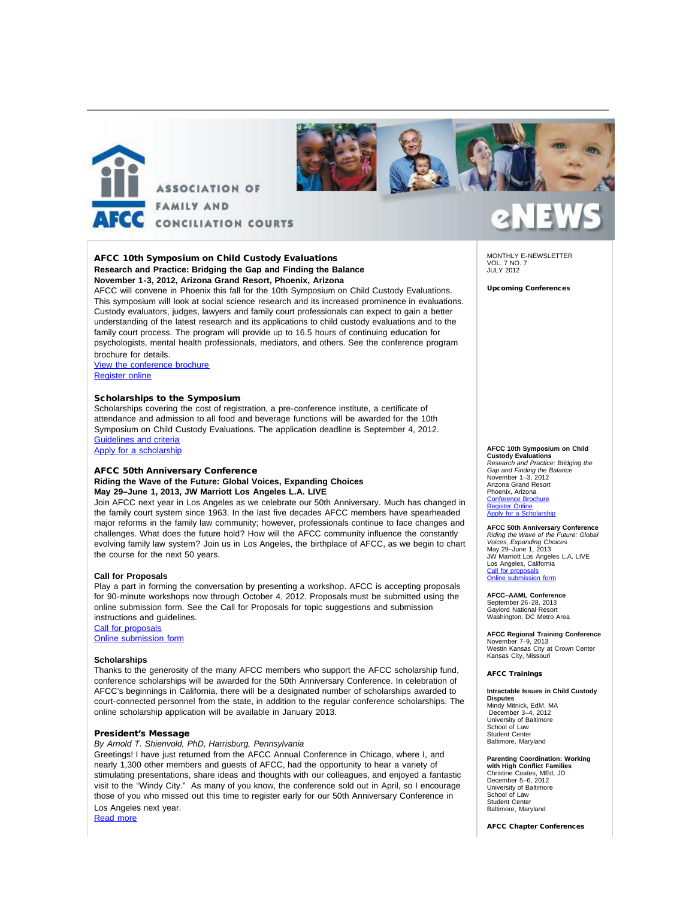



#### AFCC 10th Symposium on Child Custody Evaluations **Research and Practice: Bridging the Gap and Finding the Balance November 1-3, 2012, Arizona Grand Resort, Phoenix, Arizona**

AFCC will convene in Phoenix this fall for the 10th Symposium on Child Custody Evaluations. This symposium will look at social science research and its increased prominence in evaluations. Custody evaluators, judges, lawyers and family court professionals can expect to gain a better understanding of the latest research and its applications to child custody evaluations and to the family court process. The program will provide up to 16.5 hours of continuing education for psychologists, mental health professionals, mediators, and others. See the conference program brochure for details.

[View the conference brochure](http://afcc.networkats.com/members_online/utilities/emailct.asp?2a8827071c03bf08baa964c94048fa33f68c9e3701fb446e6a173e6171e457798773fd480ae460fd) [Register online](http://afcc.networkats.com/members_online/utilities/emailct.asp?9538974202705abbfb6a7a3290cc97a5052bc4b001fb446e6a173e6171e457798773fd480ae460fd)

#### Scholarships to the Symposium

Scholarships covering the cost of registration, a pre-conference institute, a certificate of attendance and admission to all food and beverage functions will be awarded for the 10th Symposium on Child Custody Evaluations. The application deadline is September 4, 2012. [Guidelines and criteria](http://afcc.networkats.com/members_online/utilities/emailct.asp?69af57b7bfd83b351f117c74c3f75b5183da51cd01fb446e6a173e6171e457798773fd480ae460fd)

[Apply for a scholarship](http://afcc.networkats.com/members_online/utilities/emailct.asp?d60fb30fd698501850f6404edcc8e24df7c0931201fb446e6a173e6171e457798773fd480ae460fd)

#### AFCC 50th Anniversary Conference

#### **Riding the Wave of the Future: Global Voices, Expanding Choices May 29–June 1, 2013, JW Marriott Los Angeles L.A. LIVE**

Join AFCC next year in Los Angeles as we celebrate our 50th Anniversary. Much has changed in the family court system since 1963. In the last five decades AFCC members have spearheaded major reforms in the family law community; however, professionals continue to face changes and challenges. What does the future hold? How will the AFCC community influence the constantly evolving family law system? Join us in Los Angeles, the birthplace of AFCC, as we begin to chart the course for the next 50 years.

#### **Call for Proposals**

Play a part in forming the conversation by presenting a workshop. AFCC is accepting proposals for 90-minute workshops now through October 4, 2012. Proposals must be submitted using the online submission form. See the Call for Proposals for topic suggestions and submission instructions and guidelines.

[Call for proposals](http://afcc.networkats.com/members_online/utilities/emailct.asp?6e89c7e4a44c23d9ec7b1191a5258574ecf28a3201fb446e6a173e6171e457798773fd480ae460fd) [Online submission form](http://afcc.networkats.com/members_online/utilities/emailct.asp?4dd03dc1a918a5918c1f04b8159ba0d32bd4224f01fb446e6a173e6171e457798773fd480ae460fd)

#### **Scholarships**

Thanks to the generosity of the many AFCC members who support the AFCC scholarship fund, conference scholarships will be awarded for the 50th Anniversary Conference. In celebration of AFCC's beginnings in California, there will be a designated number of scholarships awarded to court-connected personnel from the state, in addition to the regular conference scholarships. The online scholarship application will be available in January 2013.

#### President's Message

*By Arnold T. Shienvold, PhD, Harrisburg, Pennsylvania*

Greetings! I have just returned from the AFCC Annual Conference in Chicago, where I, and nearly 1,300 other members and guests of AFCC, had the opportunity to hear a variety of stimulating presentations, share ideas and thoughts with our colleagues, and enjoyed a fantastic visit to the "Windy City." As many of you know, the conference sold out in April, so I encourage those of you who missed out this time to register early for our 50th Anniversary Conference in Los Angeles next year.

[Read more](http://afcc.networkats.com/members_online/utilities/emailct.asp?d089022cf721c182939dc377feae5c1ff8e9fa9401fb446e6a173e6171e457798773fd480ae460fd)

MONTHLY E-NEWSLETTER VOL. 7 NO. 7 JULY 2012

Upcoming Conferences

#### **AFCC 10th Symposium on Child**

**Custody Evaluations** *Research and Practice: Bridging the Gap and Finding the Balance* November 1–3, 2012 Arizona Grand Resort Phoenix, Arizona <u>[Conference Brochure](http://afcc.networkats.com/members_online/utilities/emailct.asp?2a8827071c03bf08baa964c94048fa33f68c9e3701fb446e6a173e6171e457798773fd480ae460fd)</u><br><u>[Register Online](http://afcc.networkats.com/members_online/utilities/emailct.asp?9538974202705abbfb6a7a3290cc97a5052bc4b001fb446e6a173e6171e457798773fd480ae460fd)</u> Apply for a Scholarshi

**AFCC 50th Anniversary Conference** *Riding the Wave of the Future: Global Voices, Expanding Choices* May 29–June 1, 2013 JW Marriott Los Angeles L.A. LIVE Los Angeles, California [Call for proposals](http://afcc.networkats.com/members_online/utilities/emailct.asp?6e89c7e4a44c23d9ec7b1191a5258574ecf28a3201fb446e6a173e6171e457798773fd480ae460fd) [Online submission form](http://afcc.networkats.com/members_online/utilities/emailct.asp?4dd03dc1a918a5918c1f04b8159ba0d32bd4224f01fb446e6a173e6171e457798773fd480ae460fd)

**AFCC–AAML Conference** September 26-28, 2013 Gaylord National Resort Washington, DC Metro Area

**AFCC Regional Training Conference** November 7-9, 2013 Westin Kansas City at Crown Center Kansas City, Missouri

#### AFCC Trainings

### **Intractable Issues in Child Custody**

**Disputes** Mindy Mitnick, EdM, MA December 3–4, 2012 University of Baltimore School of Law Student Center Baltimore, Maryland

**Parenting Coordination: Working with High Conflict Families** Christine Coates, MEd, JD December 5–6, 2012 University of Baltimore School of Law Student Center Baltimore, Maryland

AFCC Chapter Conferences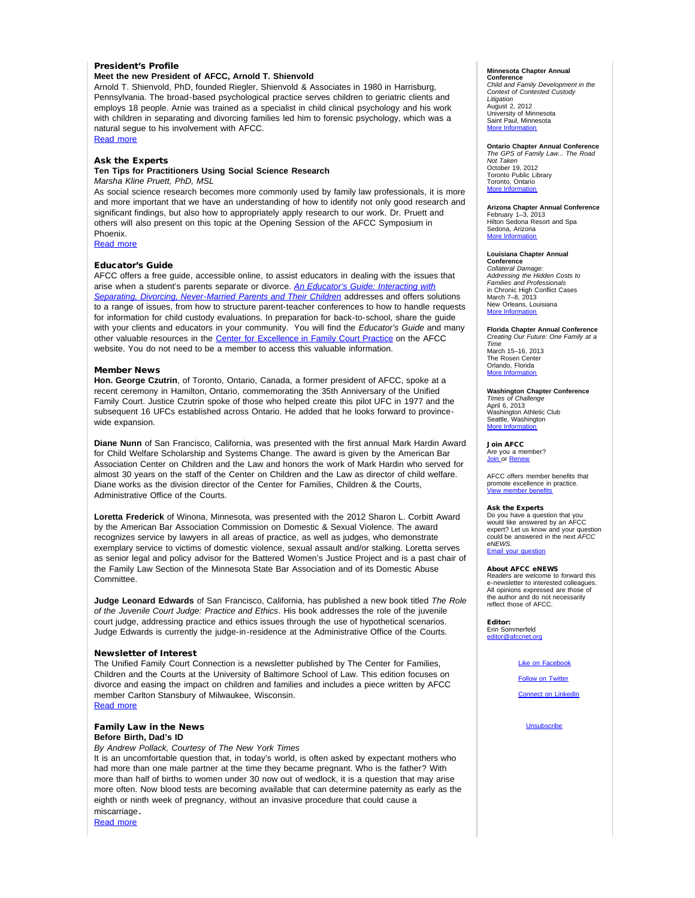#### President's Profile

#### **Meet the new President of AFCC, Arnold T. Shienvold**

Arnold T. Shienvold, PhD, founded Riegler, Shienvold & Associates in 1980 in Harrisburg, Pennsylvania. The broad-based psychological practice serves children to geriatric clients and employs 18 people. Arnie was trained as a specialist in child clinical psychology and his work with children in separating and divorcing families led him to forensic psychology, which was a natural segue to his involvement with AFCC.

[Read more](http://afcc.networkats.com/members_online/utilities/emailct.asp?cf56b99123c6eb602d8a90acc123c572f9a64b6001fb446e6a173e6171e457798773fd480ae460fd)

#### Ask the Experts

#### **Ten Tips for Practitioners Using Social Science Research** *Marsha Kline Pruett, PhD, MSL*

As social science research becomes more commonly used by family law professionals, it is more and more important that we have an understanding of how to identify not only good research and significant findings, but also how to appropriately apply research to our work. Dr. Pruett and others will also present on this topic at the Opening Session of the AFCC Symposium in Phoenix.

[Read more](http://afcc.networkats.com/members_online/utilities/emailct.asp?1fca3109e6fd5e093231ba34428380538fad792001fb446e6a173e6171e457798773fd480ae460fd)

#### Educator's Guide

AFCC offers a free guide, accessible online, to assist educators in dealing with the issues that arise when a student's parents separate or divorce. *[An Educator's Guide: Interacting with](http://afcc.networkats.com/members_online/utilities/emailct.asp?5140a45b842b9779df1a71e00a3a2cdc446faa4001fb446e6a173e6171e457798773fd480ae460fd) [Separating, Divorcing, Never-Married Parents and Their Children](http://afcc.networkats.com/members_online/utilities/emailct.asp?5140a45b842b9779df1a71e00a3a2cdc446faa4001fb446e6a173e6171e457798773fd480ae460fd)* addresses and offers solutions to a range of issues, from how to structure parent-teacher conferences to how to handle requests for information for child custody evaluations. In preparation for back-to-school, share the guide with your clients and educators in your community. You will find the *Educator's Guide* and many other valuable resources in the [Center for Excellence in Family Court Practice](http://afcc.networkats.com/members_online/utilities/emailct.asp?be21c7f652acc6ebf8ad3e0d8e560f6953d6fa0801fb446e6a173e6171e457798773fd480ae460fd) on the AFCC website. You do not need to be a member to access this valuable information.

#### Member News

**Hon. George Czutrin**, of Toronto, Ontario, Canada, a former president of AFCC, spoke at a recent ceremony in Hamilton, Ontario, commemorating the 35th Anniversary of the Unified Family Court. Justice Czutrin spoke of those who helped create this pilot UFC in 1977 and the subsequent 16 UFCs established across Ontario. He added that he looks forward to provincewide expansion.

**Diane Nunn** of San Francisco, California, was presented with the first annual Mark Hardin Award for Child Welfare Scholarship and Systems Change. The award is given by the American Bar Association Center on Children and the Law and honors the work of Mark Hardin who served for almost 30 years on the staff of the Center on Children and the Law as director of child welfare. Diane works as the division director of the Center for Families, Children & the Courts, Administrative Office of the Courts.

**Loretta Frederick** of Winona, Minnesota, was presented with the 2012 Sharon L. Corbitt Award by the American Bar Association Commission on Domestic & Sexual Violence. The award recognizes service by lawyers in all areas of practice, as well as judges, who demonstrate exemplary service to victims of domestic violence, sexual assault and/or stalking. Loretta serves as senior legal and policy advisor for the Battered Women's Justice Project and is a past chair of the Family Law Section of the Minnesota State Bar Association and of its Domestic Abuse Committee.

**Judge Leonard Edwards** of San Francisco, California, has published a new book titled *The Role of the Juvenile Court Judge: Practice and Ethics*. His book addresses the role of the juvenile court judge, addressing practice and ethics issues through the use of hypothetical scenarios. Judge Edwards is currently the judge-in-residence at the Administrative Office of the Courts.

#### Newsletter of Interest

The Unified Family Court Connection is a newsletter published by The Center for Families, Children and the Courts at the University of Baltimore School of Law. This edition focuses on divorce and easing the impact on children and families and includes a piece written by AFCC member Carlton Stansbury of Milwaukee, Wisconsin. [Read more](http://afcc.networkats.com/members_online/utilities/emailct.asp?a0183b8f4c71e0ed122293f391db672eefe23ae901fb446e6a173e6171e457798773fd480ae460fd)

#### Family Law in the News

### **Before Birth, Dad's ID**

*By Andrew Pollack, Courtesy of The New York Times*

It is an uncomfortable question that, in today's world, is often asked by expectant mothers who had more than one male partner at the time they became pregnant. Who is the father? With more than half of births to women under 30 now out of wedlock, it is a question that may arise more often. Now blood tests are becoming available that can determine paternity as early as the eighth or ninth week of pregnancy, without an invasive procedure that could cause a

miscarriage. [Read more](http://afcc.networkats.com/members_online/utilities/emailct.asp?a3ef0ac106194b604cc92fab98289f25b7d8985a01fb446e6a173e6171e457798773fd480ae460fd)

#### **Minnesota Chapter Annual**

**Conference** *Child and Family Development in the Context of Contested Custody Litigation* August 2, 2012 University of Minnesota Saint Paul, Minnesota [More Information](http://afcc.networkats.com/members_online/utilities/emailct.asp?912428b01463ddccfb8a788ae13b524559b2d91f01fb446e6a173e6171e457798773fd480ae460fd)

**Ontario Chapter Annual Conference** *The GPS of Family Law... The Road Not Taken* October 19, 2012 Toronto Public Library Toronto, Ontario **[More Information](http://afcc.networkats.com/members_online/utilities/emailct.asp?7a34fc4bd7c746a5b8e40d0d22783df67a1b583c01fb446e6a173e6171e457798773fd480ae460fd)** 

**Arizona Chapter Annual Conference**<br>February 1–3, 2013<br>Hilton Sedona Resort and Spa Sedona, Arizona [More Information](http://afcc.networkats.com/members_online/utilities/emailct.asp?5b1a78d548fd4544634e815551d71af899a7bed001fb446e6a173e6171e457798773fd480ae460fd)

#### **Louisiana Chapter Annual**

**Conference**<br>Collateral Dam *Collateral Damage: Addressing the Hidden Costs to Families and Professionals* in Chronic High Conflict Cases March 7–8, 2013 New Orleans, Louisiana<br>[More Information](http://afcc.networkats.com/members_online/utilities/emailct.asp?c84a8495eb6be57f8979e325b918a8e677a1c06a01fb446e6a173e6171e457798773fd480ae460fd)

#### **Florida Chapter Annual Conference**

*Creating Our Future: One Family at a Time* March 15–16, 2013 The Rosen Cent Orlando, Florida More Infor

**Washington Chapter Conference** *Times of Challenge* April 6, 2013 Washington Athletic Club Seattle, Washington More Informati

Join AFCC Are you a member? [Join o](http://afcc.networkats.com/members_online/utilities/emailct.asp?d828ab36bac27a22d69fecf85baabf601aa9927a01fb446e6a173e6171e457798773fd480ae460fd)r [Renew](http://afcc.networkats.com/members_online/utilities/emailct.asp?3cb46086e311cfff74395c81a42f5579df5ac4ea01fb446e6a173e6171e457798773fd480ae460fd)

AFCC offers member benefits that promote excellence in practice. view member benefi

#### Ask the Experts

Do you have a question that you would like answered by an AFCC expert? Let us know and your question could be answered in the next *AFCC eNEWS.* ail your que

#### About AFCC eNEWS

Readers are welcome to forward this e-newsletter to interested colleagues. All opinions expressed are those of the author and do not necessarily reflect those of AFCC.

Editor: Erin Sommerfeld [editor@afccnet.org](mailto:editor@afccnet.org)

#### [Like on Facebook](http://afcc.networkats.com/members_online/utilities/emailct.asp?520cb6d128a881d84f36b75623c2953efe2ee90501fb446e6a173e6171e457798773fd480ae460fd)

**[Follow on Twitter](http://afcc.networkats.com/members_online/utilities/emailct.asp?4a8cb981135cc6328d7e34d46e400ef0a6f8869f01fb446e6a173e6171e457798773fd480ae460fd)** 

[Connect on LinkedIn](http://afcc.networkats.com/members_online/utilities/emailct.asp?377ba9d7af28377a9fe6120b348751242464a5a501fb446e6a173e6171e457798773fd480ae460fd)

**[Unsubscribe](mailto:afcc@afccnet.org)**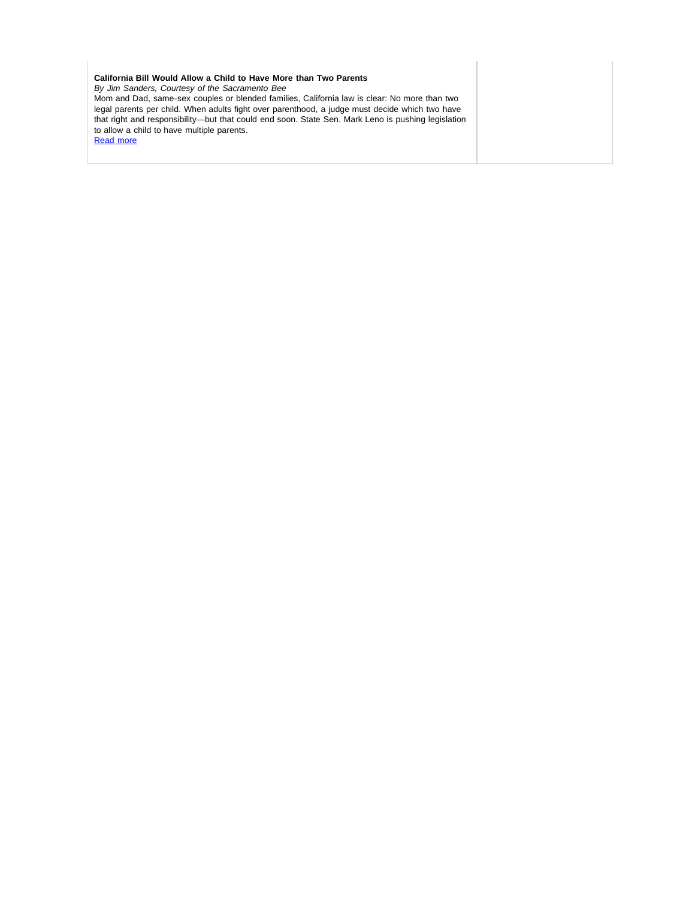### **California Bill Would Allow a Child to Have More than Two Parents**

*By Jim Sanders, Courtesy of the Sacramento Bee*

Mom and Dad, same-sex couples or blended families, California law is clear: No more than two legal parents per child. When adults fight over parenthood, a judge must decide which two have that right and responsibility—but that could end soon. State Sen. Mark Leno is pushing legislation to allow a child to have multiple parents.

[Read more](http://afcc.networkats.com/members_online/utilities/emailct.asp?88938964b592e87aeb852c196b6d927bf3d698c601fb446e6a173e6171e457798773fd480ae460fd)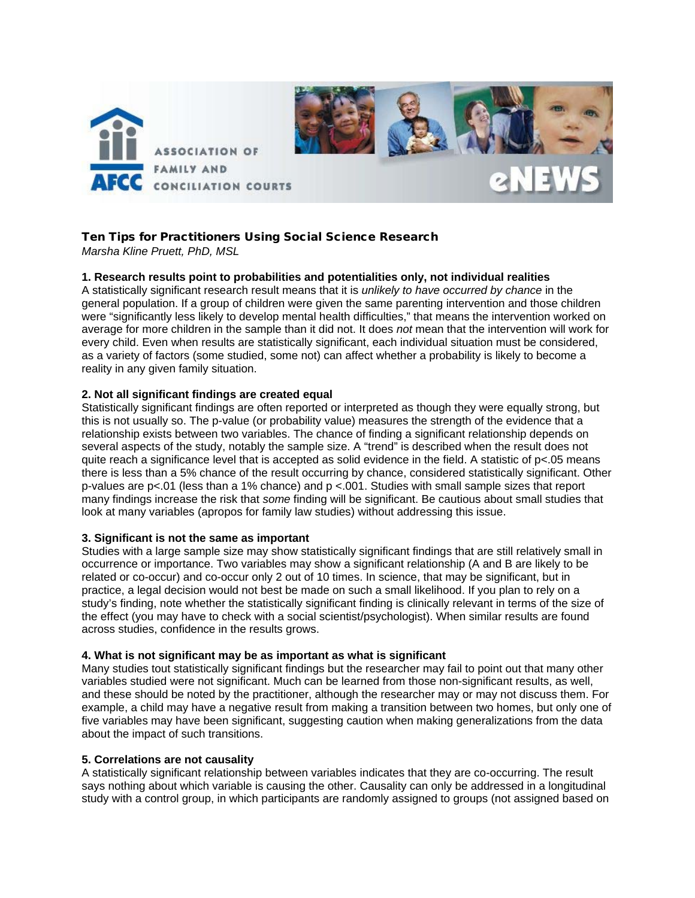

# Ten Tips for Practitioners Using Social Science Research

*Marsha Kline Pruett, PhD, MSL* 

## **1. Research results point to probabilities and potentialities only, not individual realities**

A statistically significant research result means that it is *unlikely to have occurred by chance* in the general population. If a group of children were given the same parenting intervention and those children were "significantly less likely to develop mental health difficulties," that means the intervention worked on average for more children in the sample than it did not. It does *not* mean that the intervention will work for every child. Even when results are statistically significant, each individual situation must be considered, as a variety of factors (some studied, some not) can affect whether a probability is likely to become a reality in any given family situation.

### **2. Not all significant findings are created equal**

Statistically significant findings are often reported or interpreted as though they were equally strong, but this is not usually so. The p-value (or probability value) measures the strength of the evidence that a relationship exists between two variables. The chance of finding a significant relationship depends on several aspects of the study, notably the sample size. A "trend" is described when the result does not quite reach a significance level that is accepted as solid evidence in the field. A statistic of  $p<.05$  means there is less than a 5% chance of the result occurring by chance, considered statistically significant. Other p-values are p<.01 (less than a 1% chance) and p <.001. Studies with small sample sizes that report many findings increase the risk that *some* finding will be significant. Be cautious about small studies that look at many variables (apropos for family law studies) without addressing this issue.

## **3. Significant is not the same as important**

Studies with a large sample size may show statistically significant findings that are still relatively small in occurrence or importance. Two variables may show a significant relationship (A and B are likely to be related or co-occur) and co-occur only 2 out of 10 times. In science, that may be significant, but in practice, a legal decision would not best be made on such a small likelihood. If you plan to rely on a study's finding, note whether the statistically significant finding is clinically relevant in terms of the size of the effect (you may have to check with a social scientist/psychologist). When similar results are found across studies, confidence in the results grows.

## **4. What is not significant may be as important as what is significant**

Many studies tout statistically significant findings but the researcher may fail to point out that many other variables studied were not significant. Much can be learned from those non-significant results, as well, and these should be noted by the practitioner, although the researcher may or may not discuss them. For example, a child may have a negative result from making a transition between two homes, but only one of five variables may have been significant, suggesting caution when making generalizations from the data about the impact of such transitions.

### **5. Correlations are not causality**

A statistically significant relationship between variables indicates that they are co-occurring. The result says nothing about which variable is causing the other. Causality can only be addressed in a longitudinal study with a control group, in which participants are randomly assigned to groups (not assigned based on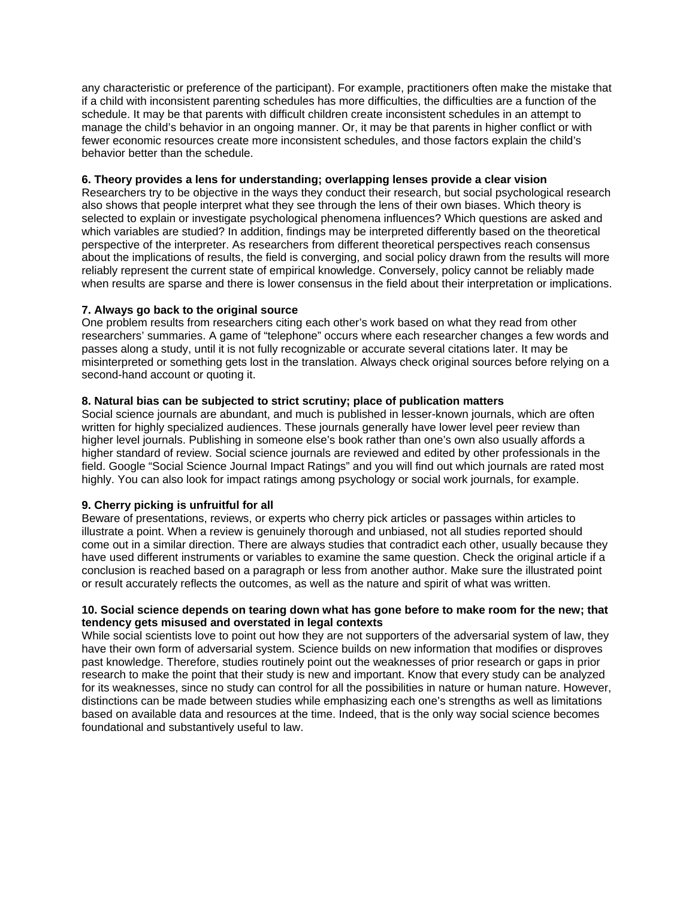any characteristic or preference of the participant). For example, practitioners often make the mistake that if a child with inconsistent parenting schedules has more difficulties, the difficulties are a function of the schedule. It may be that parents with difficult children create inconsistent schedules in an attempt to manage the child's behavior in an ongoing manner. Or, it may be that parents in higher conflict or with fewer economic resources create more inconsistent schedules, and those factors explain the child's behavior better than the schedule.

### **6. Theory provides a lens for understanding; overlapping lenses provide a clear vision**

Researchers try to be objective in the ways they conduct their research, but social psychological research also shows that people interpret what they see through the lens of their own biases. Which theory is selected to explain or investigate psychological phenomena influences? Which questions are asked and which variables are studied? In addition, findings may be interpreted differently based on the theoretical perspective of the interpreter. As researchers from different theoretical perspectives reach consensus about the implications of results, the field is converging, and social policy drawn from the results will more reliably represent the current state of empirical knowledge. Conversely, policy cannot be reliably made when results are sparse and there is lower consensus in the field about their interpretation or implications.

## **7. Always go back to the original source**

One problem results from researchers citing each other's work based on what they read from other researchers' summaries. A game of "telephone" occurs where each researcher changes a few words and passes along a study, until it is not fully recognizable or accurate several citations later. It may be misinterpreted or something gets lost in the translation. Always check original sources before relying on a second-hand account or quoting it.

## **8. Natural bias can be subjected to strict scrutiny; place of publication matters**

Social science journals are abundant, and much is published in lesser-known journals, which are often written for highly specialized audiences. These journals generally have lower level peer review than higher level journals. Publishing in someone else's book rather than one's own also usually affords a higher standard of review. Social science journals are reviewed and edited by other professionals in the field. Google "Social Science Journal Impact Ratings" and you will find out which journals are rated most highly. You can also look for impact ratings among psychology or social work journals, for example.

## **9. Cherry picking is unfruitful for all**

Beware of presentations, reviews, or experts who cherry pick articles or passages within articles to illustrate a point. When a review is genuinely thorough and unbiased, not all studies reported should come out in a similar direction. There are always studies that contradict each other, usually because they have used different instruments or variables to examine the same question. Check the original article if a conclusion is reached based on a paragraph or less from another author. Make sure the illustrated point or result accurately reflects the outcomes, as well as the nature and spirit of what was written.

### **10. Social science depends on tearing down what has gone before to make room for the new; that tendency gets misused and overstated in legal contexts**

While social scientists love to point out how they are not supporters of the adversarial system of law, they have their own form of adversarial system. Science builds on new information that modifies or disproves past knowledge. Therefore, studies routinely point out the weaknesses of prior research or gaps in prior research to make the point that their study is new and important. Know that every study can be analyzed for its weaknesses, since no study can control for all the possibilities in nature or human nature. However, distinctions can be made between studies while emphasizing each one's strengths as well as limitations based on available data and resources at the time. Indeed, that is the only way social science becomes foundational and substantively useful to law.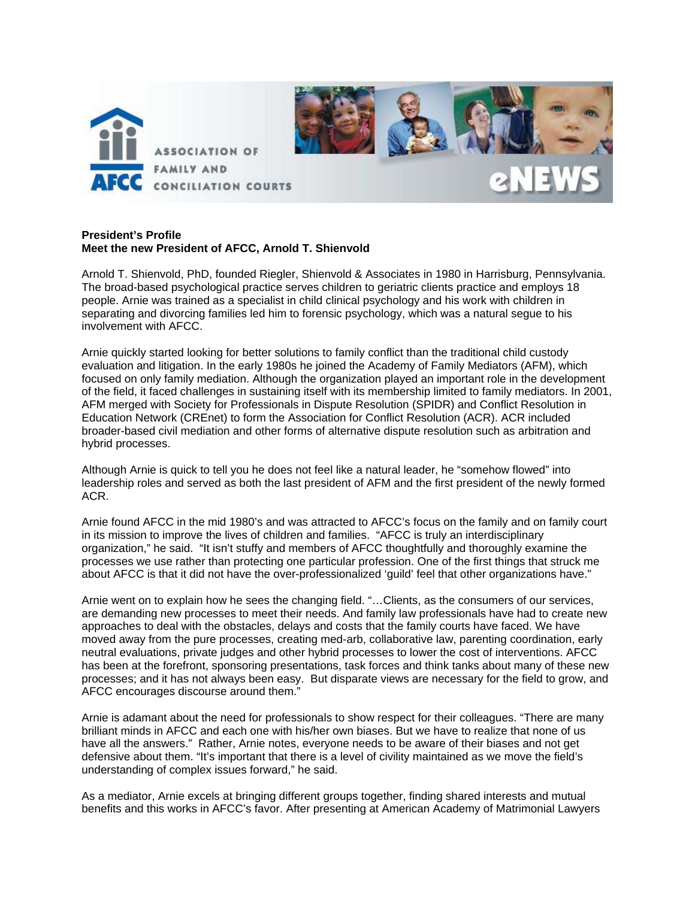

### **President's Profile Meet the new President of AFCC, Arnold T. Shienvold**

Arnold T. Shienvold, PhD, founded Riegler, Shienvold & Associates in 1980 in Harrisburg, Pennsylvania. The broad-based psychological practice serves children to geriatric clients practice and employs 18 people. Arnie was trained as a specialist in child clinical psychology and his work with children in separating and divorcing families led him to forensic psychology, which was a natural segue to his involvement with AFCC.

Arnie quickly started looking for better solutions to family conflict than the traditional child custody evaluation and litigation. In the early 1980s he joined the Academy of Family Mediators (AFM), which focused on only family mediation. Although the organization played an important role in the development of the field, it faced challenges in sustaining itself with its membership limited to family mediators. In 2001, AFM merged with Society for Professionals in Dispute Resolution (SPIDR) and Conflict Resolution in Education Network (CREnet) to form the Association for Conflict Resolution (ACR). ACR included broader-based civil mediation and other forms of alternative dispute resolution such as arbitration and hybrid processes.

Although Arnie is quick to tell you he does not feel like a natural leader, he "somehow flowed" into leadership roles and served as both the last president of AFM and the first president of the newly formed ACR.

Arnie found AFCC in the mid 1980's and was attracted to AFCC's focus on the family and on family court in its mission to improve the lives of children and families. "AFCC is truly an interdisciplinary organization," he said. "It isn't stuffy and members of AFCC thoughtfully and thoroughly examine the processes we use rather than protecting one particular profession. One of the first things that struck me about AFCC is that it did not have the over-professionalized 'guild' feel that other organizations have."

Arnie went on to explain how he sees the changing field. "…Clients, as the consumers of our services, are demanding new processes to meet their needs. And family law professionals have had to create new approaches to deal with the obstacles, delays and costs that the family courts have faced. We have moved away from the pure processes, creating med-arb, collaborative law, parenting coordination, early neutral evaluations, private judges and other hybrid processes to lower the cost of interventions. AFCC has been at the forefront, sponsoring presentations, task forces and think tanks about many of these new processes; and it has not always been easy. But disparate views are necessary for the field to grow, and AFCC encourages discourse around them."

Arnie is adamant about the need for professionals to show respect for their colleagues. "There are many brilliant minds in AFCC and each one with his/her own biases. But we have to realize that none of us have all the answers." Rather, Arnie notes, everyone needs to be aware of their biases and not get defensive about them. "It's important that there is a level of civility maintained as we move the field's understanding of complex issues forward," he said.

As a mediator, Arnie excels at bringing different groups together, finding shared interests and mutual benefits and this works in AFCC's favor. After presenting at American Academy of Matrimonial Lawyers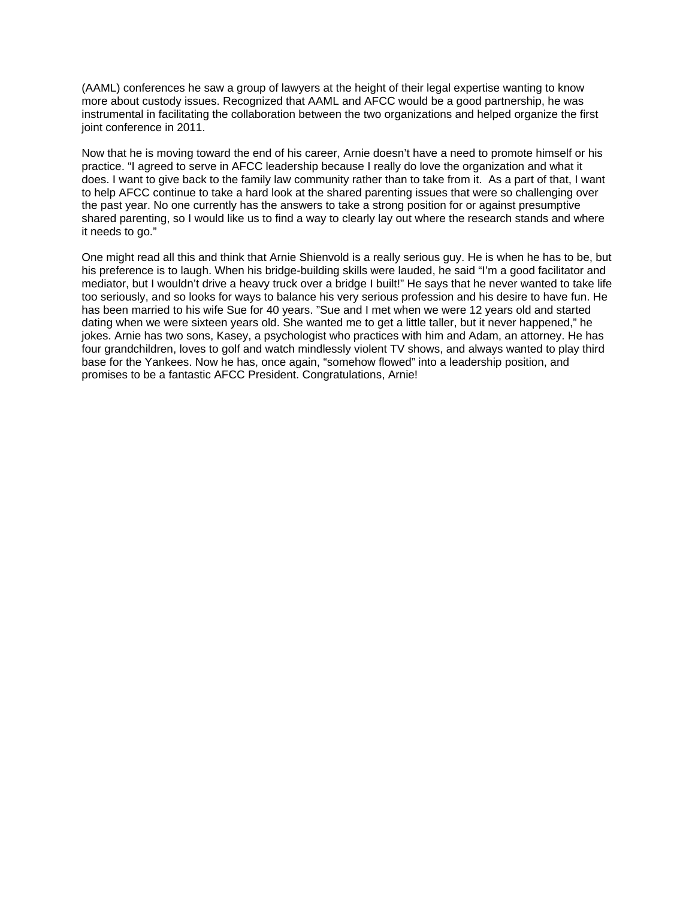(AAML) conferences he saw a group of lawyers at the height of their legal expertise wanting to know more about custody issues. Recognized that AAML and AFCC would be a good partnership, he was instrumental in facilitating the collaboration between the two organizations and helped organize the first joint conference in 2011.

Now that he is moving toward the end of his career, Arnie doesn't have a need to promote himself or his practice. "I agreed to serve in AFCC leadership because I really do love the organization and what it does. I want to give back to the family law community rather than to take from it. As a part of that, I want to help AFCC continue to take a hard look at the shared parenting issues that were so challenging over the past year. No one currently has the answers to take a strong position for or against presumptive shared parenting, so I would like us to find a way to clearly lay out where the research stands and where it needs to go."

One might read all this and think that Arnie Shienvold is a really serious guy. He is when he has to be, but his preference is to laugh. When his bridge-building skills were lauded, he said "I'm a good facilitator and mediator, but I wouldn't drive a heavy truck over a bridge I built!" He says that he never wanted to take life too seriously, and so looks for ways to balance his very serious profession and his desire to have fun. He has been married to his wife Sue for 40 years. "Sue and I met when we were 12 years old and started dating when we were sixteen years old. She wanted me to get a little taller, but it never happened," he jokes. Arnie has two sons, Kasey, a psychologist who practices with him and Adam, an attorney. He has four grandchildren, loves to golf and watch mindlessly violent TV shows, and always wanted to play third base for the Yankees. Now he has, once again, "somehow flowed" into a leadership position, and promises to be a fantastic AFCC President. Congratulations, Arnie!